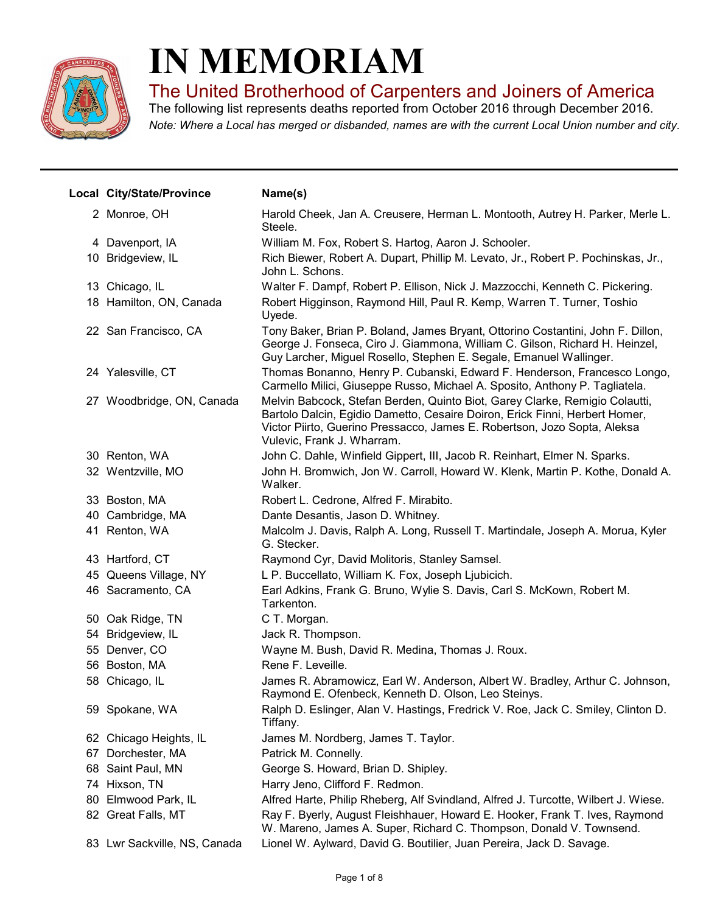

## IN MEMORIAM

The United Brotherhood of Carpenters and Joiners of America

Note: Where a Local has merged or disbanded, names are with the current Local Union number and city. The following list represents deaths reported from October 2016 through December 2016.

|    | Local City/State/Province    | Name(s)                                                                                                                                                                                                                                                              |
|----|------------------------------|----------------------------------------------------------------------------------------------------------------------------------------------------------------------------------------------------------------------------------------------------------------------|
|    | 2 Monroe, OH                 | Harold Cheek, Jan A. Creusere, Herman L. Montooth, Autrey H. Parker, Merle L.<br>Steele.                                                                                                                                                                             |
|    | 4 Davenport, IA              | William M. Fox, Robert S. Hartog, Aaron J. Schooler.                                                                                                                                                                                                                 |
|    | 10 Bridgeview, IL            | Rich Biewer, Robert A. Dupart, Phillip M. Levato, Jr., Robert P. Pochinskas, Jr.,<br>John L. Schons.                                                                                                                                                                 |
|    | 13 Chicago, IL               | Walter F. Dampf, Robert P. Ellison, Nick J. Mazzocchi, Kenneth C. Pickering.                                                                                                                                                                                         |
|    | 18 Hamilton, ON, Canada      | Robert Higginson, Raymond Hill, Paul R. Kemp, Warren T. Turner, Toshio<br>Uyede.                                                                                                                                                                                     |
|    | 22 San Francisco, CA         | Tony Baker, Brian P. Boland, James Bryant, Ottorino Costantini, John F. Dillon,<br>George J. Fonseca, Ciro J. Giammona, William C. Gilson, Richard H. Heinzel,<br>Guy Larcher, Miguel Rosello, Stephen E. Segale, Emanuel Wallinger.                                 |
|    | 24 Yalesville, CT            | Thomas Bonanno, Henry P. Cubanski, Edward F. Henderson, Francesco Longo,<br>Carmello Milici, Giuseppe Russo, Michael A. Sposito, Anthony P. Tagliatela.                                                                                                              |
|    | 27 Woodbridge, ON, Canada    | Melvin Babcock, Stefan Berden, Quinto Biot, Garey Clarke, Remigio Colautti,<br>Bartolo Dalcin, Egidio Dametto, Cesaire Doiron, Erick Finni, Herbert Homer,<br>Victor Piirto, Guerino Pressacco, James E. Robertson, Jozo Sopta, Aleksa<br>Vulevic, Frank J. Wharram. |
|    | 30 Renton, WA                | John C. Dahle, Winfield Gippert, III, Jacob R. Reinhart, Elmer N. Sparks.                                                                                                                                                                                            |
|    | 32 Wentzville, MO            | John H. Bromwich, Jon W. Carroll, Howard W. Klenk, Martin P. Kothe, Donald A.<br>Walker.                                                                                                                                                                             |
|    | 33 Boston, MA                | Robert L. Cedrone, Alfred F. Mirabito.                                                                                                                                                                                                                               |
|    | 40 Cambridge, MA             | Dante Desantis, Jason D. Whitney.                                                                                                                                                                                                                                    |
|    | 41 Renton, WA                | Malcolm J. Davis, Ralph A. Long, Russell T. Martindale, Joseph A. Morua, Kyler<br>G. Stecker.                                                                                                                                                                        |
|    | 43 Hartford, CT              | Raymond Cyr, David Molitoris, Stanley Samsel.                                                                                                                                                                                                                        |
|    | 45 Queens Village, NY        | L P. Buccellato, William K. Fox, Joseph Ljubicich.                                                                                                                                                                                                                   |
|    | 46 Sacramento, CA            | Earl Adkins, Frank G. Bruno, Wylie S. Davis, Carl S. McKown, Robert M.<br>Tarkenton.                                                                                                                                                                                 |
|    | 50 Oak Ridge, TN             | C T. Morgan.                                                                                                                                                                                                                                                         |
|    | 54 Bridgeview, IL            | Jack R. Thompson.                                                                                                                                                                                                                                                    |
|    | 55 Denver, CO                | Wayne M. Bush, David R. Medina, Thomas J. Roux.                                                                                                                                                                                                                      |
|    | 56 Boston, MA                | Rene F. Leveille.                                                                                                                                                                                                                                                    |
|    | 58 Chicago, IL               | James R. Abramowicz, Earl W. Anderson, Albert W. Bradley, Arthur C. Johnson,<br>Raymond E. Ofenbeck, Kenneth D. Olson, Leo Steinys.                                                                                                                                  |
|    | 59 Spokane, WA               | Ralph D. Eslinger, Alan V. Hastings, Fredrick V. Roe, Jack C. Smiley, Clinton D.<br>Tiffany.                                                                                                                                                                         |
|    | 62 Chicago Heights, IL       | James M. Nordberg, James T. Taylor.                                                                                                                                                                                                                                  |
| 67 | Dorchester, MA               | Patrick M. Connelly.                                                                                                                                                                                                                                                 |
|    | 68 Saint Paul, MN            | George S. Howard, Brian D. Shipley.                                                                                                                                                                                                                                  |
|    | 74 Hixson, TN                | Harry Jeno, Clifford F. Redmon.                                                                                                                                                                                                                                      |
| 80 | Elmwood Park, IL             | Alfred Harte, Philip Rheberg, Alf Svindland, Alfred J. Turcotte, Wilbert J. Wiese.                                                                                                                                                                                   |
|    | 82 Great Falls, MT           | Ray F. Byerly, August Fleishhauer, Howard E. Hooker, Frank T. Ives, Raymond<br>W. Mareno, James A. Super, Richard C. Thompson, Donald V. Townsend.                                                                                                                   |
|    | 83 Lwr Sackville, NS, Canada | Lionel W. Aylward, David G. Boutilier, Juan Pereira, Jack D. Savage.                                                                                                                                                                                                 |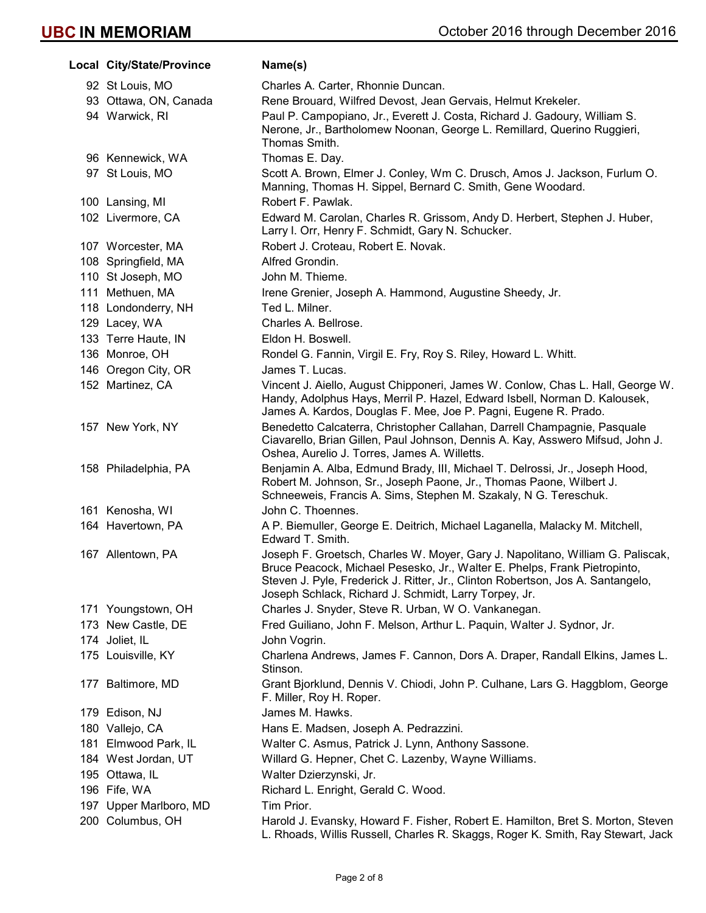| Local City/State/Province | Name(s)                                                                                                                                                                                                                                                                                                 |
|---------------------------|---------------------------------------------------------------------------------------------------------------------------------------------------------------------------------------------------------------------------------------------------------------------------------------------------------|
| 92 St Louis, MO           | Charles A. Carter, Rhonnie Duncan.                                                                                                                                                                                                                                                                      |
| 93 Ottawa, ON, Canada     | Rene Brouard, Wilfred Devost, Jean Gervais, Helmut Krekeler.                                                                                                                                                                                                                                            |
| 94 Warwick, RI            | Paul P. Campopiano, Jr., Everett J. Costa, Richard J. Gadoury, William S.<br>Nerone, Jr., Bartholomew Noonan, George L. Remillard, Querino Ruggieri,<br>Thomas Smith.                                                                                                                                   |
| 96 Kennewick, WA          | Thomas E. Day.                                                                                                                                                                                                                                                                                          |
| 97 St Louis, MO           | Scott A. Brown, Elmer J. Conley, Wm C. Drusch, Amos J. Jackson, Furlum O.<br>Manning, Thomas H. Sippel, Bernard C. Smith, Gene Woodard.                                                                                                                                                                 |
| 100 Lansing, MI           | Robert F. Pawlak.                                                                                                                                                                                                                                                                                       |
| 102 Livermore, CA         | Edward M. Carolan, Charles R. Grissom, Andy D. Herbert, Stephen J. Huber,<br>Larry I. Orr, Henry F. Schmidt, Gary N. Schucker.                                                                                                                                                                          |
| 107 Worcester, MA         | Robert J. Croteau, Robert E. Novak.                                                                                                                                                                                                                                                                     |
| 108 Springfield, MA       | Alfred Grondin.                                                                                                                                                                                                                                                                                         |
| 110 St Joseph, MO         | John M. Thieme.                                                                                                                                                                                                                                                                                         |
| 111 Methuen, MA           | Irene Grenier, Joseph A. Hammond, Augustine Sheedy, Jr.                                                                                                                                                                                                                                                 |
| 118 Londonderry, NH       | Ted L. Milner.                                                                                                                                                                                                                                                                                          |
| 129 Lacey, WA             | Charles A. Bellrose.                                                                                                                                                                                                                                                                                    |
| 133 Terre Haute, IN       | Eldon H. Boswell.                                                                                                                                                                                                                                                                                       |
| 136 Monroe, OH            | Rondel G. Fannin, Virgil E. Fry, Roy S. Riley, Howard L. Whitt.                                                                                                                                                                                                                                         |
| 146 Oregon City, OR       | James T. Lucas.                                                                                                                                                                                                                                                                                         |
| 152 Martinez, CA          | Vincent J. Aiello, August Chipponeri, James W. Conlow, Chas L. Hall, George W.<br>Handy, Adolphus Hays, Merril P. Hazel, Edward Isbell, Norman D. Kalousek,<br>James A. Kardos, Douglas F. Mee, Joe P. Pagni, Eugene R. Prado.                                                                          |
| 157 New York, NY          | Benedetto Calcaterra, Christopher Callahan, Darrell Champagnie, Pasquale<br>Ciavarello, Brian Gillen, Paul Johnson, Dennis A. Kay, Asswero Mifsud, John J.<br>Oshea, Aurelio J. Torres, James A. Willetts.                                                                                              |
| 158 Philadelphia, PA      | Benjamin A. Alba, Edmund Brady, III, Michael T. Delrossi, Jr., Joseph Hood,<br>Robert M. Johnson, Sr., Joseph Paone, Jr., Thomas Paone, Wilbert J.<br>Schneeweis, Francis A. Sims, Stephen M. Szakaly, N G. Tereschuk.                                                                                  |
| 161 Kenosha, WI           | John C. Thoennes.                                                                                                                                                                                                                                                                                       |
| 164 Havertown, PA         | A P. Biemuller, George E. Deitrich, Michael Laganella, Malacky M. Mitchell,<br>Edward T. Smith.                                                                                                                                                                                                         |
| 167 Allentown, PA         | Joseph F. Groetsch, Charles W. Moyer, Gary J. Napolitano, William G. Paliscak,<br>Bruce Peacock, Michael Pesesko, Jr., Walter E. Phelps, Frank Pietropinto,<br>Steven J. Pyle, Frederick J. Ritter, Jr., Clinton Robertson, Jos A. Santangelo,<br>Joseph Schlack, Richard J. Schmidt, Larry Torpey, Jr. |
| 171 Youngstown, OH        | Charles J. Snyder, Steve R. Urban, W O. Vankanegan.                                                                                                                                                                                                                                                     |
| 173 New Castle, DE        | Fred Guiliano, John F. Melson, Arthur L. Paquin, Walter J. Sydnor, Jr.                                                                                                                                                                                                                                  |
| 174 Joliet, IL            | John Vogrin.                                                                                                                                                                                                                                                                                            |
| 175 Louisville, KY        | Charlena Andrews, James F. Cannon, Dors A. Draper, Randall Elkins, James L.<br>Stinson.                                                                                                                                                                                                                 |
| 177 Baltimore, MD         | Grant Bjorklund, Dennis V. Chiodi, John P. Culhane, Lars G. Haggblom, George<br>F. Miller, Roy H. Roper.                                                                                                                                                                                                |
| 179 Edison, NJ            | James M. Hawks.                                                                                                                                                                                                                                                                                         |
| 180 Vallejo, CA           | Hans E. Madsen, Joseph A. Pedrazzini.                                                                                                                                                                                                                                                                   |
| 181 Elmwood Park, IL      | Walter C. Asmus, Patrick J. Lynn, Anthony Sassone.                                                                                                                                                                                                                                                      |
| 184 West Jordan, UT       | Willard G. Hepner, Chet C. Lazenby, Wayne Williams.                                                                                                                                                                                                                                                     |
| 195 Ottawa, IL            | Walter Dzierzynski, Jr.                                                                                                                                                                                                                                                                                 |
| 196 Fife, WA              | Richard L. Enright, Gerald C. Wood.                                                                                                                                                                                                                                                                     |
| 197 Upper Marlboro, MD    | Tim Prior.                                                                                                                                                                                                                                                                                              |
| 200 Columbus, OH          | Harold J. Evansky, Howard F. Fisher, Robert E. Hamilton, Bret S. Morton, Steven<br>L. Rhoads, Willis Russell, Charles R. Skaggs, Roger K. Smith, Ray Stewart, Jack                                                                                                                                      |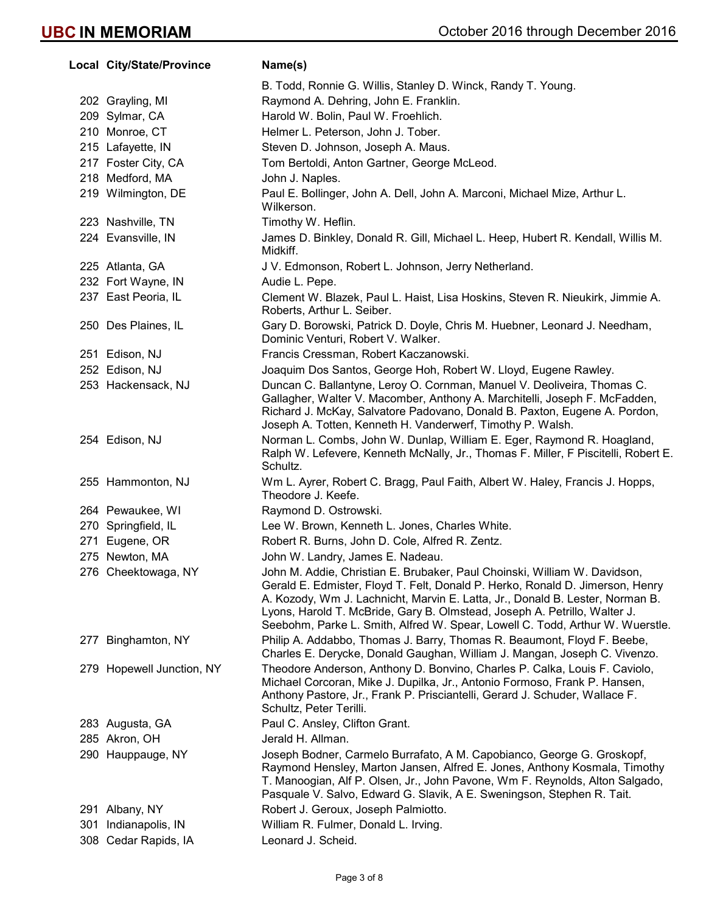## Local City/State/Province Name(s) B. Todd, Ronnie G. Willis, Stanley D. Winck, Randy T. Young. 202 Grayling, MI Raymond A. Dehring, John E. Franklin. 209 Sylmar, CA Harold W. Bolin, Paul W. Froehlich. 210 Monroe, CT Helmer L. Peterson, John J. Tober. 215 Lafayette, IN Steven D. Johnson, Joseph A. Maus. 217 Foster City, CA Tom Bertoldi, Anton Gartner, George McLeod. 218 Medford, MA John J. Naples. 219 Wilmington, DE Paul E. Bollinger, John A. Dell, John A. Marconi, Michael Mize, Arthur L. Wilkerson. 223 Nashville, TN Timothy W. Heflin. 224 Evansville, IN James D. Binkley, Donald R. Gill, Michael L. Heep, Hubert R. Kendall, Willis M. Midkiff. 225 Atlanta, GA J V. Edmonson, Robert L. Johnson, Jerry Netherland. 232 Fort Wayne, IN Audie L. Pepe. 237 East Peoria, IL Clement W. Blazek, Paul L. Haist, Lisa Hoskins, Steven R. Nieukirk, Jimmie A. Roberts, Arthur L. Seiber. 250 Des Plaines, IL Gary D. Borowski, Patrick D. Doyle, Chris M. Huebner, Leonard J. Needham, Dominic Venturi, Robert V. Walker. 251 Edison, NJ Francis Cressman, Robert Kaczanowski. 252 Edison, NJ Joaquim Dos Santos, George Hoh, Robert W. Lloyd, Eugene Rawley. 253 Hackensack, NJ Duncan C. Ballantyne, Leroy O. Cornman, Manuel V. Deoliveira, Thomas C. Gallagher, Walter V. Macomber, Anthony A. Marchitelli, Joseph F. McFadden, Richard J. McKay, Salvatore Padovano, Donald B. Paxton, Eugene A. Pordon, Joseph A. Totten, Kenneth H. Vanderwerf, Timothy P. Walsh. 254 Edison, NJ Norman L. Combs, John W. Dunlap, William E. Eger, Raymond R. Hoagland, Ralph W. Lefevere, Kenneth McNally, Jr., Thomas F. Miller, F Piscitelli, Robert E. Schultz. 255 Hammonton, NJ Wm L. Ayrer, Robert C. Bragg, Paul Faith, Albert W. Haley, Francis J. Hopps, Theodore J. Keefe. 264 Pewaukee, WI Raymond D. Ostrowski. 270 Springfield, IL Lee W. Brown, Kenneth L. Jones, Charles White. 271 Eugene, OR Robert R. Burns, John D. Cole, Alfred R. Zentz. 275 Newton, MA John W. Landry, James E. Nadeau. 276 Cheektowaga, NY John M. Addie, Christian E. Brubaker, Paul Choinski, William W. Davidson, Gerald E. Edmister, Floyd T. Felt, Donald P. Herko, Ronald D. Jimerson, Henry A. Kozody, Wm J. Lachnicht, Marvin E. Latta, Jr., Donald B. Lester, Norman B. Lyons, Harold T. McBride, Gary B. Olmstead, Joseph A. Petrillo, Walter J. Seebohm, Parke L. Smith, Alfred W. Spear, Lowell C. Todd, Arthur W. Wuerstle. 277 Binghamton, NY Philip A. Addabbo, Thomas J. Barry, Thomas R. Beaumont, Floyd F. Beebe, Charles E. Derycke, Donald Gaughan, William J. Mangan, Joseph C. Vivenzo. 279 Hopewell Junction, NY Theodore Anderson, Anthony D. Bonvino, Charles P. Calka, Louis F. Caviolo, Michael Corcoran, Mike J. Dupilka, Jr., Antonio Formoso, Frank P. Hansen, Anthony Pastore, Jr., Frank P. Prisciantelli, Gerard J. Schuder, Wallace F. Schultz, Peter Terilli. 283 Augusta, GA **Paul C. Ansley, Clifton Grant.** 285 Akron, OH Jerald H. Allman. 290 Hauppauge, NY Joseph Bodner, Carmelo Burrafato, A M. Capobianco, George G. Groskopf, Raymond Hensley, Marton Jansen, Alfred E. Jones, Anthony Kosmala, Timothy T. Manoogian, Alf P. Olsen, Jr., John Pavone, Wm F. Reynolds, Alton Salgado, Pasquale V. Salvo, Edward G. Slavik, A E. Sweningson, Stephen R. Tait. 291 Albany, NY Robert J. Geroux, Joseph Palmiotto. 301 Indianapolis, IN William R. Fulmer, Donald L. Irving. 308 Cedar Rapids, IA Leonard J. Scheid.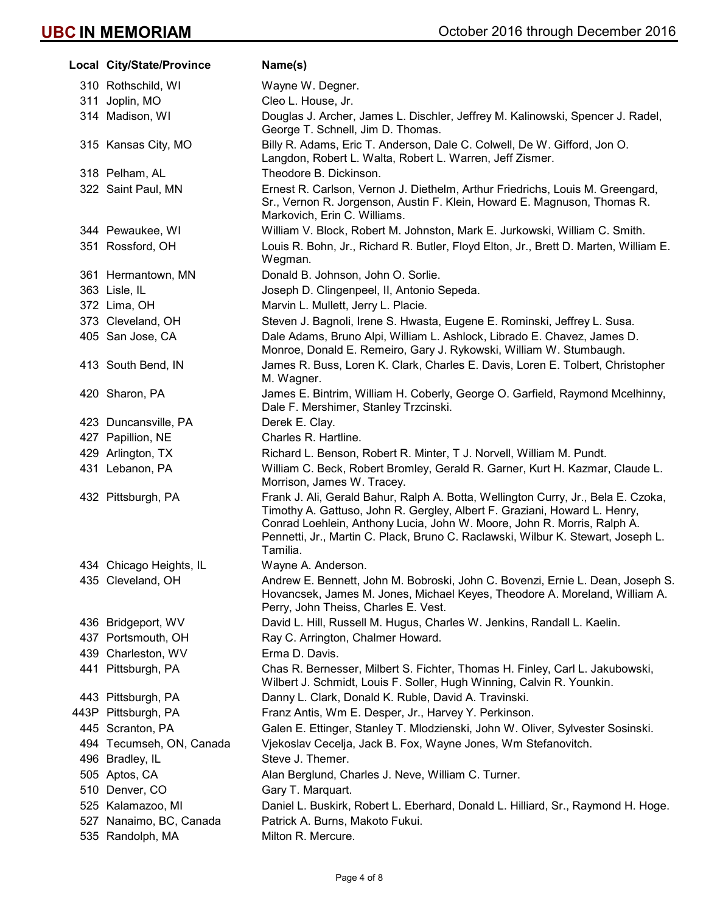|                          | Name(s)                                                                                                                                                                                                                                                                                                                                   |
|--------------------------|-------------------------------------------------------------------------------------------------------------------------------------------------------------------------------------------------------------------------------------------------------------------------------------------------------------------------------------------|
| 310 Rothschild, WI       | Wayne W. Degner.                                                                                                                                                                                                                                                                                                                          |
| 311 Joplin, MO           | Cleo L. House, Jr.                                                                                                                                                                                                                                                                                                                        |
| 314 Madison, WI          | Douglas J. Archer, James L. Dischler, Jeffrey M. Kalinowski, Spencer J. Radel,<br>George T. Schnell, Jim D. Thomas.                                                                                                                                                                                                                       |
| 315 Kansas City, MO      | Billy R. Adams, Eric T. Anderson, Dale C. Colwell, De W. Gifford, Jon O.<br>Langdon, Robert L. Walta, Robert L. Warren, Jeff Zismer.                                                                                                                                                                                                      |
| 318 Pelham, AL           | Theodore B. Dickinson.                                                                                                                                                                                                                                                                                                                    |
| 322 Saint Paul, MN       | Ernest R. Carlson, Vernon J. Diethelm, Arthur Friedrichs, Louis M. Greengard,<br>Sr., Vernon R. Jorgenson, Austin F. Klein, Howard E. Magnuson, Thomas R.<br>Markovich, Erin C. Williams.                                                                                                                                                 |
| 344 Pewaukee, WI         | William V. Block, Robert M. Johnston, Mark E. Jurkowski, William C. Smith.                                                                                                                                                                                                                                                                |
| 351 Rossford, OH         | Louis R. Bohn, Jr., Richard R. Butler, Floyd Elton, Jr., Brett D. Marten, William E.<br>Wegman.                                                                                                                                                                                                                                           |
| 361 Hermantown, MN       | Donald B. Johnson, John O. Sorlie.                                                                                                                                                                                                                                                                                                        |
| 363 Lisle, IL            | Joseph D. Clingenpeel, II, Antonio Sepeda.                                                                                                                                                                                                                                                                                                |
| 372 Lima, OH             | Marvin L. Mullett, Jerry L. Placie.                                                                                                                                                                                                                                                                                                       |
|                          | Steven J. Bagnoli, Irene S. Hwasta, Eugene E. Rominski, Jeffrey L. Susa.                                                                                                                                                                                                                                                                  |
| 405 San Jose, CA         | Dale Adams, Bruno Alpi, William L. Ashlock, Librado E. Chavez, James D.<br>Monroe, Donald E. Remeiro, Gary J. Rykowski, William W. Stumbaugh.                                                                                                                                                                                             |
| 413 South Bend, IN       | James R. Buss, Loren K. Clark, Charles E. Davis, Loren E. Tolbert, Christopher<br>M. Wagner.                                                                                                                                                                                                                                              |
| 420 Sharon, PA           | James E. Bintrim, William H. Coberly, George O. Garfield, Raymond Mcelhinny,<br>Dale F. Mershimer, Stanley Trzcinski.                                                                                                                                                                                                                     |
| 423 Duncansville, PA     | Derek E. Clay.                                                                                                                                                                                                                                                                                                                            |
| 427 Papillion, NE        | Charles R. Hartline.                                                                                                                                                                                                                                                                                                                      |
| 429 Arlington, TX        | Richard L. Benson, Robert R. Minter, T J. Norvell, William M. Pundt.                                                                                                                                                                                                                                                                      |
| 431 Lebanon, PA          | William C. Beck, Robert Bromley, Gerald R. Garner, Kurt H. Kazmar, Claude L.<br>Morrison, James W. Tracey.                                                                                                                                                                                                                                |
| 432 Pittsburgh, PA       | Frank J. Ali, Gerald Bahur, Ralph A. Botta, Wellington Curry, Jr., Bela E. Czoka,<br>Timothy A. Gattuso, John R. Gergley, Albert F. Graziani, Howard L. Henry,<br>Conrad Loehlein, Anthony Lucia, John W. Moore, John R. Morris, Ralph A.<br>Pennetti, Jr., Martin C. Plack, Bruno C. Raclawski, Wilbur K. Stewart, Joseph L.<br>Tamilia. |
| 434 Chicago Heights, IL  | Wayne A. Anderson.                                                                                                                                                                                                                                                                                                                        |
| 435 Cleveland, OH        | Andrew E. Bennett, John M. Bobroski, John C. Bovenzi, Ernie L. Dean, Joseph S.<br>Hovancsek, James M. Jones, Michael Keyes, Theodore A. Moreland, William A.<br>Perry, John Theiss, Charles E. Vest.                                                                                                                                      |
| 436 Bridgeport, WV       | David L. Hill, Russell M. Hugus, Charles W. Jenkins, Randall L. Kaelin.                                                                                                                                                                                                                                                                   |
| 437 Portsmouth, OH       | Ray C. Arrington, Chalmer Howard.                                                                                                                                                                                                                                                                                                         |
| 439 Charleston, WV       | Erma D. Davis.                                                                                                                                                                                                                                                                                                                            |
| 441 Pittsburgh, PA       | Chas R. Bernesser, Milbert S. Fichter, Thomas H. Finley, Carl L. Jakubowski,<br>Wilbert J. Schmidt, Louis F. Soller, Hugh Winning, Calvin R. Younkin.                                                                                                                                                                                     |
| 443 Pittsburgh, PA       | Danny L. Clark, Donald K. Ruble, David A. Travinski.                                                                                                                                                                                                                                                                                      |
| 443P Pittsburgh, PA      | Franz Antis, Wm E. Desper, Jr., Harvey Y. Perkinson.                                                                                                                                                                                                                                                                                      |
| 445 Scranton, PA         | Galen E. Ettinger, Stanley T. Mlodzienski, John W. Oliver, Sylvester Sosinski.                                                                                                                                                                                                                                                            |
| 494 Tecumseh, ON, Canada | Vjekoslav Cecelja, Jack B. Fox, Wayne Jones, Wm Stefanovitch.                                                                                                                                                                                                                                                                             |
| 496 Bradley, IL          | Steve J. Themer.                                                                                                                                                                                                                                                                                                                          |
| 505 Aptos, CA            | Alan Berglund, Charles J. Neve, William C. Turner.                                                                                                                                                                                                                                                                                        |
| 510 Denver, CO           | Gary T. Marquart.                                                                                                                                                                                                                                                                                                                         |
| 525 Kalamazoo, MI        | Daniel L. Buskirk, Robert L. Eberhard, Donald L. Hilliard, Sr., Raymond H. Hoge.                                                                                                                                                                                                                                                          |
| 527 Nanaimo, BC, Canada  | Patrick A. Burns, Makoto Fukui.                                                                                                                                                                                                                                                                                                           |
| 535 Randolph, MA         | Milton R. Mercure.                                                                                                                                                                                                                                                                                                                        |
|                          | Local City/State/Province<br>373 Cleveland, OH                                                                                                                                                                                                                                                                                            |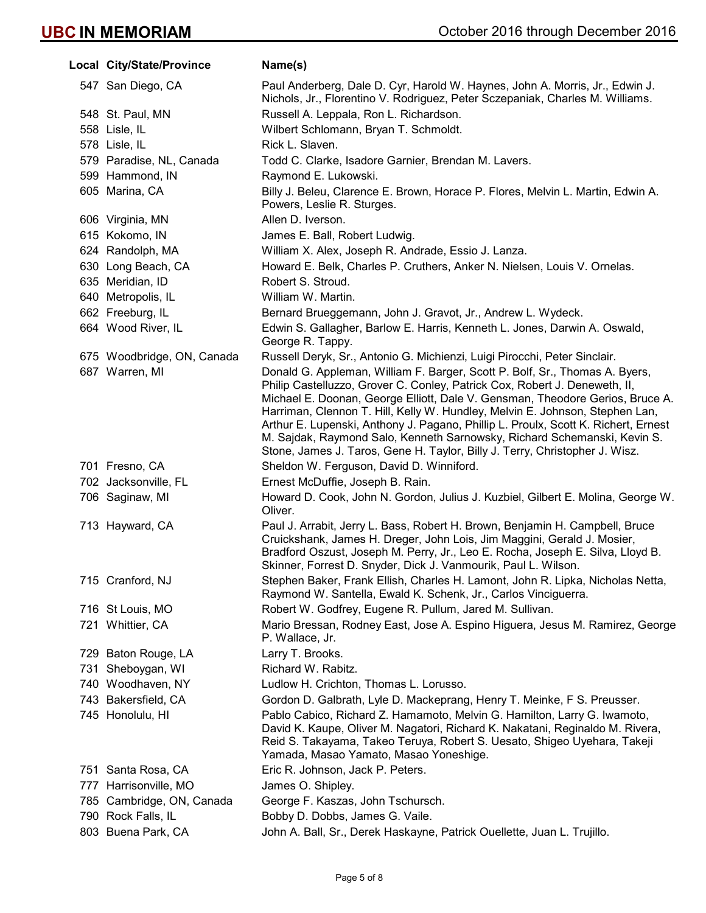| Local City/State/Province  | Name(s)                                                                                                                                                                                                                                                                                                                                                                                                                                                                                      |
|----------------------------|----------------------------------------------------------------------------------------------------------------------------------------------------------------------------------------------------------------------------------------------------------------------------------------------------------------------------------------------------------------------------------------------------------------------------------------------------------------------------------------------|
| 547 San Diego, CA          | Paul Anderberg, Dale D. Cyr, Harold W. Haynes, John A. Morris, Jr., Edwin J.<br>Nichols, Jr., Florentino V. Rodriguez, Peter Sczepaniak, Charles M. Williams.                                                                                                                                                                                                                                                                                                                                |
| 548 St. Paul, MN           | Russell A. Leppala, Ron L. Richardson.                                                                                                                                                                                                                                                                                                                                                                                                                                                       |
| 558 Lisle, IL              | Wilbert Schlomann, Bryan T. Schmoldt.                                                                                                                                                                                                                                                                                                                                                                                                                                                        |
| 578 Lisle, IL              | Rick L. Slaven.                                                                                                                                                                                                                                                                                                                                                                                                                                                                              |
| 579 Paradise, NL, Canada   | Todd C. Clarke, Isadore Garnier, Brendan M. Lavers.                                                                                                                                                                                                                                                                                                                                                                                                                                          |
| 599 Hammond, IN            | Raymond E. Lukowski.                                                                                                                                                                                                                                                                                                                                                                                                                                                                         |
| 605 Marina, CA             | Billy J. Beleu, Clarence E. Brown, Horace P. Flores, Melvin L. Martin, Edwin A.<br>Powers, Leslie R. Sturges.                                                                                                                                                                                                                                                                                                                                                                                |
| 606 Virginia, MN           | Allen D. Iverson.                                                                                                                                                                                                                                                                                                                                                                                                                                                                            |
| 615 Kokomo, IN             | James E. Ball, Robert Ludwig.                                                                                                                                                                                                                                                                                                                                                                                                                                                                |
| 624 Randolph, MA           | William X. Alex, Joseph R. Andrade, Essio J. Lanza.                                                                                                                                                                                                                                                                                                                                                                                                                                          |
| 630 Long Beach, CA         | Howard E. Belk, Charles P. Cruthers, Anker N. Nielsen, Louis V. Ornelas.                                                                                                                                                                                                                                                                                                                                                                                                                     |
| 635 Meridian, ID           | Robert S. Stroud.                                                                                                                                                                                                                                                                                                                                                                                                                                                                            |
| 640 Metropolis, IL         | William W. Martin.                                                                                                                                                                                                                                                                                                                                                                                                                                                                           |
| 662 Freeburg, IL           | Bernard Brueggemann, John J. Gravot, Jr., Andrew L. Wydeck.                                                                                                                                                                                                                                                                                                                                                                                                                                  |
| 664 Wood River, IL         | Edwin S. Gallagher, Barlow E. Harris, Kenneth L. Jones, Darwin A. Oswald,<br>George R. Tappy.                                                                                                                                                                                                                                                                                                                                                                                                |
| 675 Woodbridge, ON, Canada | Russell Deryk, Sr., Antonio G. Michienzi, Luigi Pirocchi, Peter Sinclair.                                                                                                                                                                                                                                                                                                                                                                                                                    |
| 687 Warren, MI             | Donald G. Appleman, William F. Barger, Scott P. Bolf, Sr., Thomas A. Byers,<br>Philip Castelluzzo, Grover C. Conley, Patrick Cox, Robert J. Deneweth, II,<br>Michael E. Doonan, George Elliott, Dale V. Gensman, Theodore Gerios, Bruce A.<br>Harriman, Clennon T. Hill, Kelly W. Hundley, Melvin E. Johnson, Stephen Lan,<br>Arthur E. Lupenski, Anthony J. Pagano, Phillip L. Proulx, Scott K. Richert, Ernest<br>M. Sajdak, Raymond Salo, Kenneth Sarnowsky, Richard Schemanski, Kevin S. |
|                            | Stone, James J. Taros, Gene H. Taylor, Billy J. Terry, Christopher J. Wisz.                                                                                                                                                                                                                                                                                                                                                                                                                  |
| 701 Fresno, CA             | Sheldon W. Ferguson, David D. Winniford.                                                                                                                                                                                                                                                                                                                                                                                                                                                     |
| 702 Jacksonville, FL       | Ernest McDuffie, Joseph B. Rain.                                                                                                                                                                                                                                                                                                                                                                                                                                                             |
| 706 Saginaw, MI            | Howard D. Cook, John N. Gordon, Julius J. Kuzbiel, Gilbert E. Molina, George W.<br>Oliver.                                                                                                                                                                                                                                                                                                                                                                                                   |
| 713 Hayward, CA            | Paul J. Arrabit, Jerry L. Bass, Robert H. Brown, Benjamin H. Campbell, Bruce<br>Cruickshank, James H. Dreger, John Lois, Jim Maggini, Gerald J. Mosier,<br>Bradford Oszust, Joseph M. Perry, Jr., Leo E. Rocha, Joseph E. Silva, Lloyd B.<br>Skinner, Forrest D. Snyder, Dick J. Vanmourik, Paul L. Wilson.                                                                                                                                                                                  |
| 715 Cranford, NJ           | Stephen Baker, Frank Ellish, Charles H. Lamont, John R. Lipka, Nicholas Netta,<br>Raymond W. Santella, Ewald K. Schenk, Jr., Carlos Vinciguerra.                                                                                                                                                                                                                                                                                                                                             |
| 716 St Louis, MO           | Robert W. Godfrey, Eugene R. Pullum, Jared M. Sullivan.                                                                                                                                                                                                                                                                                                                                                                                                                                      |
| 721 Whittier, CA           | Mario Bressan, Rodney East, Jose A. Espino Higuera, Jesus M. Ramirez, George<br>P. Wallace, Jr.                                                                                                                                                                                                                                                                                                                                                                                              |
| 729 Baton Rouge, LA        | Larry T. Brooks.                                                                                                                                                                                                                                                                                                                                                                                                                                                                             |
| 731 Sheboygan, WI          | Richard W. Rabitz.                                                                                                                                                                                                                                                                                                                                                                                                                                                                           |
| 740 Woodhaven, NY          | Ludlow H. Crichton, Thomas L. Lorusso.                                                                                                                                                                                                                                                                                                                                                                                                                                                       |
| 743 Bakersfield, CA        | Gordon D. Galbrath, Lyle D. Mackeprang, Henry T. Meinke, F S. Preusser.                                                                                                                                                                                                                                                                                                                                                                                                                      |
| 745 Honolulu, HI           | Pablo Cabico, Richard Z. Hamamoto, Melvin G. Hamilton, Larry G. Iwamoto,<br>David K. Kaupe, Oliver M. Nagatori, Richard K. Nakatani, Reginaldo M. Rivera,<br>Reid S. Takayama, Takeo Teruya, Robert S. Uesato, Shigeo Uyehara, Takeji<br>Yamada, Masao Yamato, Masao Yoneshige.                                                                                                                                                                                                              |
| 751 Santa Rosa, CA         | Eric R. Johnson, Jack P. Peters.                                                                                                                                                                                                                                                                                                                                                                                                                                                             |
| 777 Harrisonville, MO      | James O. Shipley.                                                                                                                                                                                                                                                                                                                                                                                                                                                                            |
| 785 Cambridge, ON, Canada  | George F. Kaszas, John Tschursch.                                                                                                                                                                                                                                                                                                                                                                                                                                                            |
| 790 Rock Falls, IL         | Bobby D. Dobbs, James G. Vaile.                                                                                                                                                                                                                                                                                                                                                                                                                                                              |
| 803 Buena Park, CA         | John A. Ball, Sr., Derek Haskayne, Patrick Ouellette, Juan L. Trujillo.                                                                                                                                                                                                                                                                                                                                                                                                                      |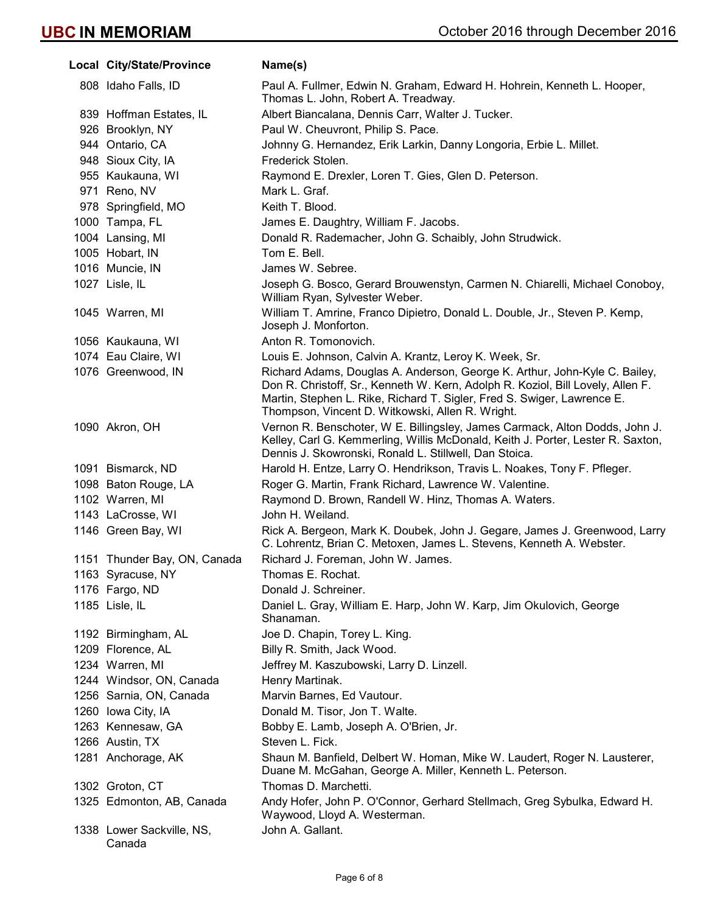| Local City/State/Province           | Name(s)                                                                                                                                                                                                                                                                                      |
|-------------------------------------|----------------------------------------------------------------------------------------------------------------------------------------------------------------------------------------------------------------------------------------------------------------------------------------------|
| 808 Idaho Falls, ID                 | Paul A. Fullmer, Edwin N. Graham, Edward H. Hohrein, Kenneth L. Hooper,<br>Thomas L. John, Robert A. Treadway.                                                                                                                                                                               |
| 839 Hoffman Estates, IL             | Albert Biancalana, Dennis Carr, Walter J. Tucker.                                                                                                                                                                                                                                            |
| 926 Brooklyn, NY                    | Paul W. Cheuvront, Philip S. Pace.                                                                                                                                                                                                                                                           |
| 944 Ontario, CA                     | Johnny G. Hernandez, Erik Larkin, Danny Longoria, Erbie L. Millet.                                                                                                                                                                                                                           |
| 948 Sioux City, IA                  | Frederick Stolen.                                                                                                                                                                                                                                                                            |
| 955 Kaukauna, WI                    | Raymond E. Drexler, Loren T. Gies, Glen D. Peterson.                                                                                                                                                                                                                                         |
| 971 Reno, NV                        | Mark L. Graf.                                                                                                                                                                                                                                                                                |
| 978 Springfield, MO                 | Keith T. Blood.                                                                                                                                                                                                                                                                              |
| 1000 Tampa, FL                      | James E. Daughtry, William F. Jacobs.                                                                                                                                                                                                                                                        |
| 1004 Lansing, MI                    | Donald R. Rademacher, John G. Schaibly, John Strudwick.                                                                                                                                                                                                                                      |
| 1005 Hobart, IN                     | Tom E. Bell.                                                                                                                                                                                                                                                                                 |
| 1016 Muncie, IN                     | James W. Sebree.                                                                                                                                                                                                                                                                             |
| 1027 Lisle, IL                      | Joseph G. Bosco, Gerard Brouwenstyn, Carmen N. Chiarelli, Michael Conoboy,<br>William Ryan, Sylvester Weber.                                                                                                                                                                                 |
| 1045 Warren, MI                     | William T. Amrine, Franco Dipietro, Donald L. Double, Jr., Steven P. Kemp,<br>Joseph J. Monforton.                                                                                                                                                                                           |
| 1056 Kaukauna, WI                   | Anton R. Tomonovich.                                                                                                                                                                                                                                                                         |
| 1074 Eau Claire, WI                 | Louis E. Johnson, Calvin A. Krantz, Leroy K. Week, Sr.                                                                                                                                                                                                                                       |
| 1076 Greenwood, IN                  | Richard Adams, Douglas A. Anderson, George K. Arthur, John-Kyle C. Bailey,<br>Don R. Christoff, Sr., Kenneth W. Kern, Adolph R. Koziol, Bill Lovely, Allen F.<br>Martin, Stephen L. Rike, Richard T. Sigler, Fred S. Swiger, Lawrence E.<br>Thompson, Vincent D. Witkowski, Allen R. Wright. |
| 1090 Akron, OH                      | Vernon R. Benschoter, W E. Billingsley, James Carmack, Alton Dodds, John J.<br>Kelley, Carl G. Kemmerling, Willis McDonald, Keith J. Porter, Lester R. Saxton,<br>Dennis J. Skowronski, Ronald L. Stillwell, Dan Stoica.                                                                     |
| 1091 Bismarck, ND                   | Harold H. Entze, Larry O. Hendrikson, Travis L. Noakes, Tony F. Pfleger.                                                                                                                                                                                                                     |
| 1098 Baton Rouge, LA                | Roger G. Martin, Frank Richard, Lawrence W. Valentine.                                                                                                                                                                                                                                       |
| 1102 Warren, MI                     | Raymond D. Brown, Randell W. Hinz, Thomas A. Waters.                                                                                                                                                                                                                                         |
| 1143 LaCrosse, WI                   | John H. Weiland.                                                                                                                                                                                                                                                                             |
| 1146 Green Bay, WI                  | Rick A. Bergeon, Mark K. Doubek, John J. Gegare, James J. Greenwood, Larry<br>C. Lohrentz, Brian C. Metoxen, James L. Stevens, Kenneth A. Webster.                                                                                                                                           |
| 1151 Thunder Bay, ON, Canada        | Richard J. Foreman, John W. James.                                                                                                                                                                                                                                                           |
| 1163 Syracuse, NY                   | Thomas E. Rochat.                                                                                                                                                                                                                                                                            |
| 1176 Fargo, ND                      | Donald J. Schreiner.                                                                                                                                                                                                                                                                         |
| 1185 Lisle, IL                      | Daniel L. Gray, William E. Harp, John W. Karp, Jim Okulovich, George<br>Shanaman.                                                                                                                                                                                                            |
| 1192 Birmingham, AL                 | Joe D. Chapin, Torey L. King.                                                                                                                                                                                                                                                                |
| 1209 Florence, AL                   | Billy R. Smith, Jack Wood.                                                                                                                                                                                                                                                                   |
| 1234 Warren, MI                     | Jeffrey M. Kaszubowski, Larry D. Linzell.                                                                                                                                                                                                                                                    |
| 1244 Windsor, ON, Canada            | Henry Martinak.                                                                                                                                                                                                                                                                              |
| 1256 Sarnia, ON, Canada             | Marvin Barnes, Ed Vautour.                                                                                                                                                                                                                                                                   |
| 1260 Iowa City, IA                  | Donald M. Tisor, Jon T. Walte.                                                                                                                                                                                                                                                               |
| 1263 Kennesaw, GA                   | Bobby E. Lamb, Joseph A. O'Brien, Jr.                                                                                                                                                                                                                                                        |
| 1266 Austin, TX                     | Steven L. Fick.                                                                                                                                                                                                                                                                              |
| 1281 Anchorage, AK                  | Shaun M. Banfield, Delbert W. Homan, Mike W. Laudert, Roger N. Lausterer,<br>Duane M. McGahan, George A. Miller, Kenneth L. Peterson.                                                                                                                                                        |
| 1302 Groton, CT                     | Thomas D. Marchetti.                                                                                                                                                                                                                                                                         |
| 1325 Edmonton, AB, Canada           | Andy Hofer, John P. O'Connor, Gerhard Stellmach, Greg Sybulka, Edward H.<br>Waywood, Lloyd A. Westerman.                                                                                                                                                                                     |
| 1338 Lower Sackville, NS,<br>Canada | John A. Gallant.                                                                                                                                                                                                                                                                             |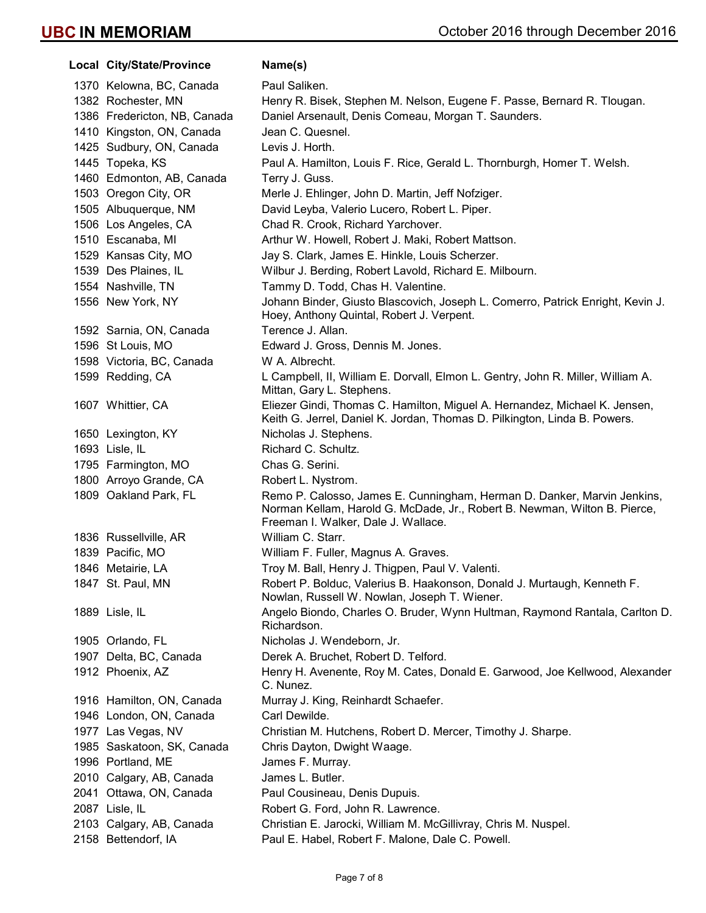Local City/State/Province Name(s) 1370 Kelowna, BC, Canada Paul Saliken. 1382 Rochester, MN Henry R. Bisek, Stephen M. Nelson, Eugene F. Passe, Bernard R. Tlougan. 1386 Fredericton, NB, Canada Daniel Arsenault, Denis Comeau, Morgan T. Saunders. 1410 Kingston, ON, Canada Jean C. Quesnel. 1425 Sudbury, ON, Canada Levis J. Horth. 1445 Topeka, KS Paul A. Hamilton, Louis F. Rice, Gerald L. Thornburgh, Homer T. Welsh. 1460 Edmonton, AB, Canada Terry J. Guss. 1503 Oregon City, OR Merle J. Ehlinger, John D. Martin, Jeff Nofziger. 1505 Albuquerque, NM David Leyba, Valerio Lucero, Robert L. Piper. 1506 Los Angeles, CA Chad R. Crook, Richard Yarchover. 1510 Escanaba, MI Arthur W. Howell, Robert J. Maki, Robert Mattson. 1529 Kansas City, MO Jay S. Clark, James E. Hinkle, Louis Scherzer. 1539 Des Plaines, IL Wilbur J. Berding, Robert Lavold, Richard E. Milbourn. 1554 Nashville, TN Tammy D. Todd, Chas H. Valentine. 1556 New York, NY Johann Binder, Giusto Blascovich, Joseph L. Comerro, Patrick Enright, Kevin J. Hoey, Anthony Quintal, Robert J. Verpent. 1592 Sarnia, ON, Canada Terence J. Allan. 1596 St Louis, MO Edward J. Gross, Dennis M. Jones. 1598 Victoria, BC, Canada W A. Albrecht. 1599 Redding, CA L Campbell, II, William E. Dorvall, Elmon L. Gentry, John R. Miller, William A. Mittan, Gary L. Stephens. 1607 Whittier, CA Eliezer Gindi, Thomas C. Hamilton, Miguel A. Hernandez, Michael K. Jensen, Keith G. Jerrel, Daniel K. Jordan, Thomas D. Pilkington, Linda B. Powers. 1650 Lexington, KY Nicholas J. Stephens. 1693 Lisle, IL Richard C. Schultz. 1795 Farmington, MO Chas G. Serini. 1800 Arroyo Grande, CA Robert L. Nystrom. 1809 Oakland Park, FL Remo P. Calosso, James E. Cunningham, Herman D. Danker, Marvin Jenkins, Norman Kellam, Harold G. McDade, Jr., Robert B. Newman, Wilton B. Pierce, Freeman I. Walker, Dale J. Wallace. 1836 Russellville, AR William C. Starr. 1839 Pacific, MO William F. Fuller, Magnus A. Graves. 1846 Metairie, LA Troy M. Ball, Henry J. Thigpen, Paul V. Valenti. 1847 St. Paul, MN Robert P. Bolduc, Valerius B. Haakonson, Donald J. Murtaugh, Kenneth F. Nowlan, Russell W. Nowlan, Joseph T. Wiener. 1889 Lisle, IL Angelo Biondo, Charles O. Bruder, Wynn Hultman, Raymond Rantala, Carlton D. Richardson. 1905 Orlando, FL Nicholas J. Wendeborn, Jr. 1907 Delta, BC, Canada **Derek A. Bruchet, Robert D. Telford.** 1912 Phoenix, AZ **Henry H. Avenente, Roy M. Cates, Donald E. Garwood, Joe Kellwood, Alexander** C. Nunez. 1916 Hamilton, ON, Canada Murray J. King, Reinhardt Schaefer. 1946 London, ON, Canada Carl Dewilde. 1977 Las Vegas, NV Christian M. Hutchens, Robert D. Mercer, Timothy J. Sharpe. 1985 Saskatoon, SK, Canada Chris Dayton, Dwight Waage. 1996 Portland, ME James F. Murray. 2010 Calgary, AB, Canada James L. Butler. 2041 Ottawa, ON, Canada Paul Cousineau, Denis Dupuis. 2087 Lisle, IL Robert G. Ford, John R. Lawrence. 2103 Calgary, AB, Canada Christian E. Jarocki, William M. McGillivray, Chris M. Nuspel. 2158 Bettendorf, IA Paul E. Habel, Robert F. Malone, Dale C. Powell.